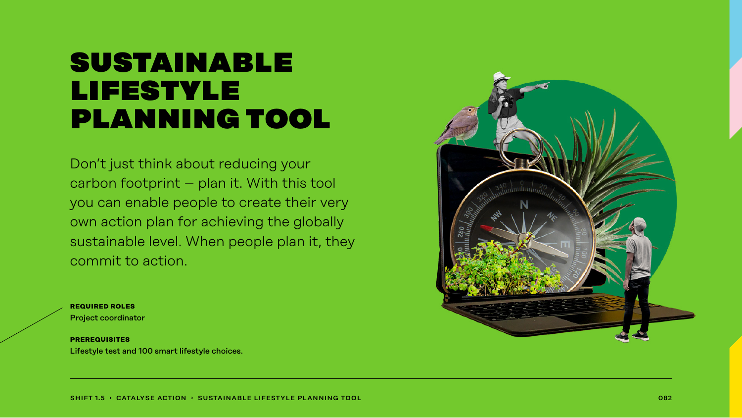## sustainable lifestyle planning tool

Don't just think about reducing your carbon footprint – plan it. With this tool you can enable people to create their very own action plan for achieving the globally sustainable level. When people plan it, they commit to action.

**required roles** Project coordinator

**prerequisites** Lifestyle test and 100 smart lifestyle choices.

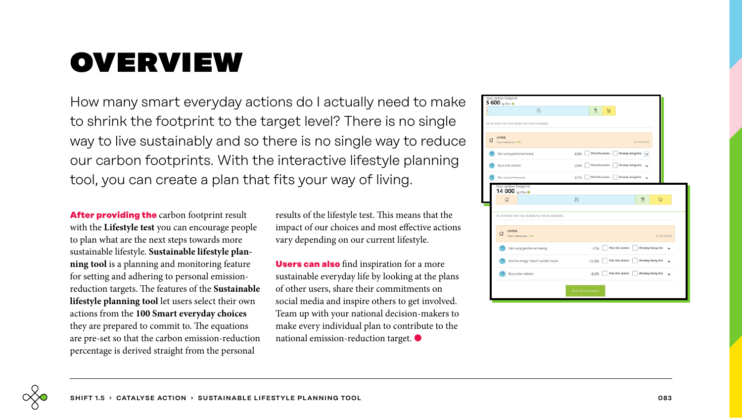# overview

How many smart everyday actions do I actually need to make to shrink the footprint to the target level? There is no single way to live sustainably and so there is no single way to reduce our carbon footprints. With the interactive lifestyle planning tool, you can create a plan that fits your way of living.

**After providing the** carbon footprint result with the **Lifestyle test** you can encourage people to plan what are the next steps towards more sustainable lifestyle. **Sustainable lifestyle planning tool** is a planning and monitoring feature for setting and adhering to personal emissionreduction targets. The features of the **Sustainable lifestyle planning tool** let users select their own actions from the **100 Smart everyday choices** they are prepared to commit to. The equations are pre-set so that the carbon emission-reduction percentage is derived straight from the personal

results of the lifestyle test. This means that the impact of our choices and most effective actions vary depending on our current lifestyle.

**Users can also** find inspiration for a more sustainable everyday life by looking at the plans of other users, share their commitments on social media and inspire others to get involved. Team up with your national decision-makers to make every individual plan to contribute to the national emission-reduction target. ●

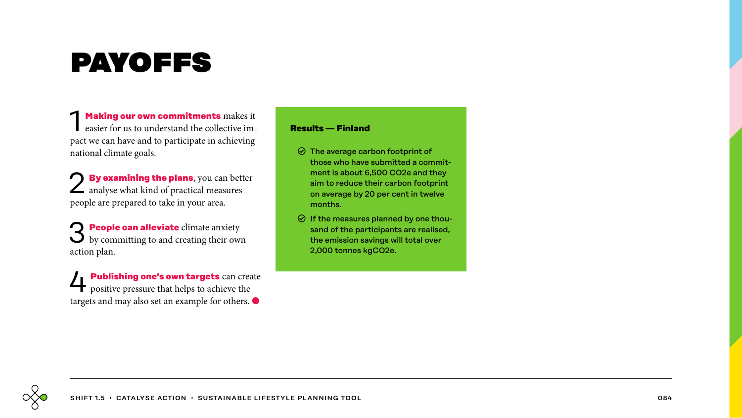# payoffs

**1 Making our own commitments** makes it easier for us to understand the collective impact we can have and to participate in achieving national climate goals.

**By examining the plans**, you can better  $\angle$  analyse what kind of practical measures people are prepared to take in your area.

3 **People can alleviate** climate anxiety by committing to and creating their own action plan.

4 **Publishing one's own targets** can create positive pressure that helps to achieve the targets and may also set an example for others. ●

### **Results — Finland**

- $\odot$  The average carbon footprint of those who have submitted a commitment is about 6,500 CO2e and they aim to reduce their carbon footprint on average by 20 per cent in twelve months.
- $\odot$  If the measures planned by one thousand of the participants are realised, the emission savings will total over 2,000 tonnes kgCO2e.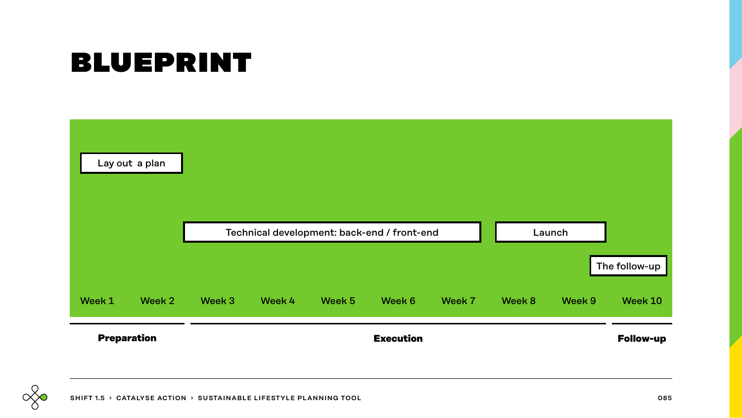# blueprint



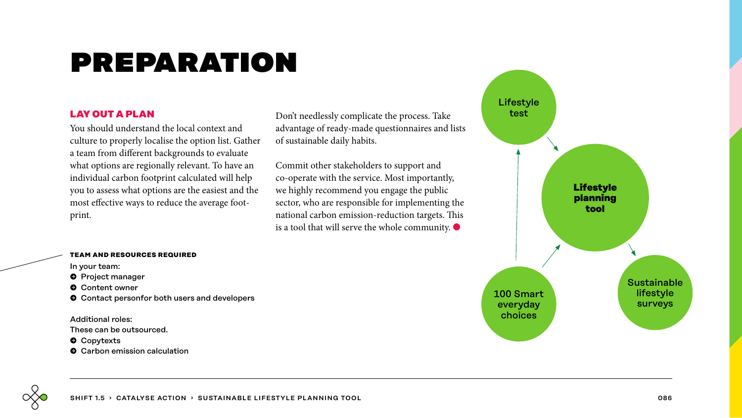# preparation

### **LAY OUT A PLAN**

You should understand the local context and culture to properly localise the option list. Gather a team from different backgrounds to evaluate what options are regionally relevant. To have an individual carbon footprint calculated will help you to assess what options are the easiest and the most effective ways to reduce the average footprint.

Don't needlessly complicate the process. Take advantage of ready-made questionnaires and lists of sustainable daily habits.

Commit other stakeholders to support and co-operate with the service. Most importantly, we highly recommend you engage the public sector, who are responsible for implementing the national carbon emission-reduction targets. This is a tool that will serve the whole community.  $\bullet$ 

### **team and resources required**

In your team:

- $\bullet$  Project manager
- � Content owner
- $\bullet$  Contact personfor both users and developers

Additional roles: These can be outsourced.

- $\bullet$  Copytexts
- $\bullet$  Carbon emission calculation

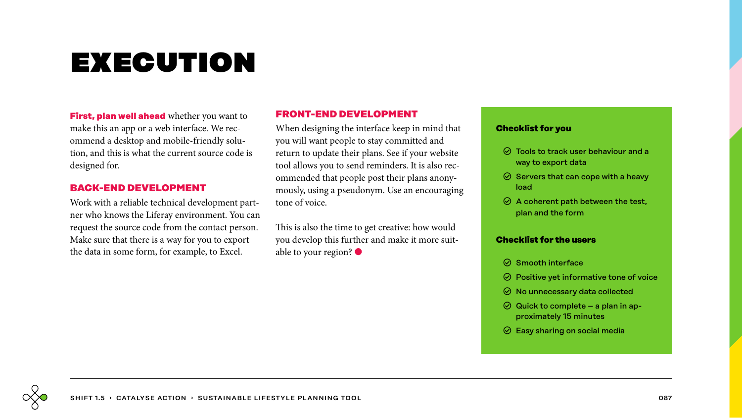# execution

**First, plan well ahead** whether you want to make this an app or a web interface. We recommend a desktop and mobile-friendly solution, and this is what the current source code is designed for.

### **BACK-END DEVELOPMENT**

Work with a reliable technical development partner who knows the Liferay environment. You can request the source code from the contact person. Make sure that there is a way for you to export the data in some form, for example, to Excel.

### **FRONT-END DEVELOPMENT**

When designing the interface keep in mind that you will want people to stay committed and return to update their plans. See if your website tool allows you to send reminders. It is also recommended that people post their plans anonymously, using a pseudonym. Use an encouraging tone of voice.

This is also the time to get creative: how would you develop this further and make it more suitable to your region? ●

### **Checklist for you**

- $\odot$  Tools to track user behaviour and a way to export data
- $\odot$  Servers that can cope with a heavy load
- $\odot$  A coherent path between the test, plan and the form

### **Checklist for the users**

- $\odot$  Smooth interface
- $\odot$  Positive yet informative tone of voice
- $\odot$  No unnecessary data collected
- $\odot$  Quick to complete a plan in approximately 15 minutes
- $\odot$  Easy sharing on social media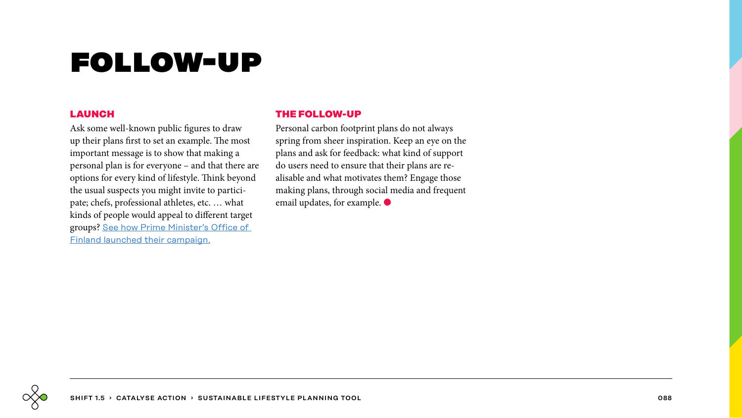# follow-up

### **LAUNCH**

Ask some well-known public figures to draw up their plans first to set an example. The most important message is to show that making a personal plan is for everyone – and that there are options for every kind of lifestyle. Think beyond the usual suspects you might invite to participate; chefs, professional athletes, etc. … what kinds of people would appeal to different target groups? [See how Prime Minister's Office of](https://www.youtube.com/watch?v=6WfbV7S6_eI)  [Finland launched their campaign](https://www.youtube.com/watch?v=6WfbV7S6_eI).

### **THE FOLLOW-UP**

Personal carbon footprint plans do not always spring from sheer inspiration. Keep an eye on the plans and ask for feedback: what kind of support do users need to ensure that their plans are realisable and what motivates them? Engage those making plans, through social media and frequent email updates, for example.  $\bullet$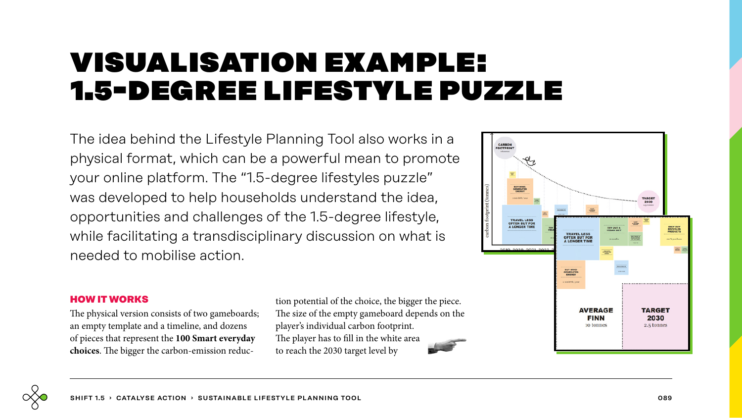## visualisation example: 1.5-degree lifestyle puzzle

The idea behind the Lifestyle Planning Tool also works in a physical format, which can be a powerful mean to promote your online platform. The "1.5-degree lifestyles puzzle" was developed to help households understand the idea, opportunities and challenges of the 1.5-degree lifestyle, while facilitating a transdisciplinary discussion on what is needed to mobilise action.



### **HOW IT WORKS**

The physical version consists of two gameboards; an empty template and a timeline, and dozens of pieces that represent the **100 Smart everyday choices**. The bigger the carbon-emission reduction potential of the choice, the bigger the piece. The size of the empty gameboard depends on the player's individual carbon footprint. The player has to fill in the white area to reach the 2030 target level by

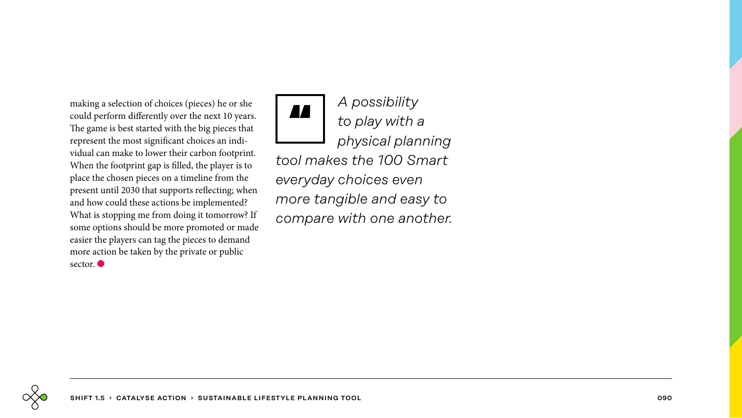making a selection of choices (pieces) he or she could perform differently over the next 10 years. The game is best started with the big pieces that represent the most significant choices an individual can make to lower their carbon footprint. When the footprint gap is filled, the player is to place the chosen pieces on a timeline from the present until 2030 that supports reflecting; when and how could these actions be implemented? What is stopping me from doing it tomorrow? If some options should be more promoted or made easier the players can tag the pieces to demand more action be taken by the private or public sector.  $\bullet$ 

*A possibility to play with a physical planning tool makes the 100 Smart everyday choices even more tangible and easy to compare with one another.* **AA**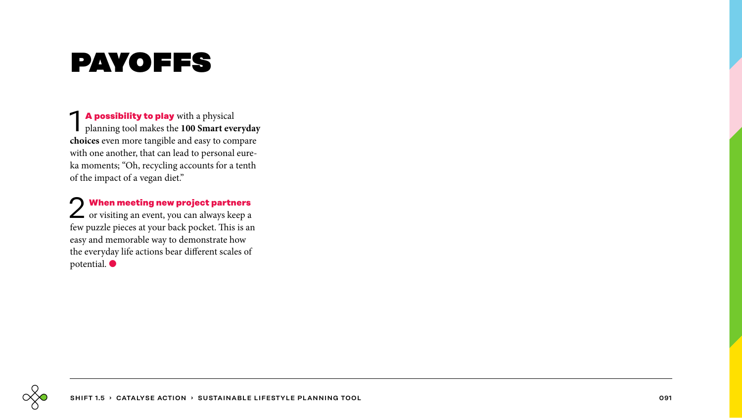# payoffs

1 **A possibility to play** with a physical planning tool makes the **100 Smart everyday choices** even more tangible and easy to compare with one another, that can lead to personal eure ka moments; "Oh, recycling accounts for a tenth of the impact of a vegan diet."

2 **When meeting new project partners** or visiting an event, you can always keep a few puzzle pieces at your back pocket. This is an easy and memorable way to demonstrate how the everyday life actions bear different scales of potential.  $\bullet$